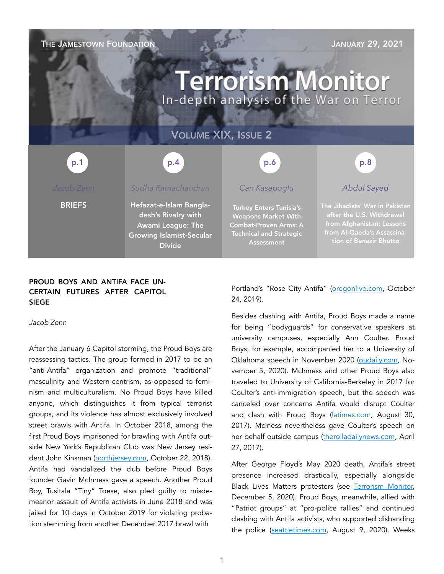## **THE JAMESTOWN FOUNDATION STATE AND ALCOHOLY AND ALCOHOLY AND STATE AND STATE STATE AND STATE AND STATE AND ART OF A STATE AND ART OF A STATE OF A STATE AND A STATE AND A STATE AND STATE AND A STATE AND STATE AND A STATE Terrorism Monitor** In-depth analysis of the War on Terror VOLUME XIX, ISSUE 2 p.4 p.1 p.1 p.1 p.4 p.4 p.4 p.6 p.6 p.8 p.8 p.8 *Sudha Ramachandran Can Kasapoglu Abdul Sayed*  **BRIEFS** Hefazat-e-Islam Bangla-Turkey Enters Tunisia's desh's Rivalry with Weapons Market With from Afghanistan: Lessons Awami League: The Combat-Proven Arms: A from Al-Qaeda's Assassina-Growing Islamist-Secular Technical and Strategic Assessment **Divide**

### PROUD BOYS AND ANTIFA FACE UN-CERTAIN FUTURES AFTER CAPITOL **SIEGE**

*Jacob Zenn* 

After the January 6 Capitol storming, the Proud Boys are reassessing tactics. The group formed in 2017 to be an "anti-Antifa" organization and promote "traditional" masculinity and Western-centrism, as opposed to feminism and multiculturalism. No Proud Boys have killed anyone, which distinguishes it from typical terrorist groups, and its violence has almost exclusively involved street brawls with Antifa. In October 2018, among the first Proud Boys imprisoned for brawling with Antifa outside New York's Republican Club was New Jersey resident John Kinsman ([northjersey.com](https://www.northjersey.com/news/), October 22, 2018). Antifa had vandalized the club before Proud Boys founder Gavin McInness gave a speech. Another Proud Boy, Tusitala "Tiny" Toese, also pled guilty to misdemeanor assault of Antifa activists in June 2018 and was jailed for 10 days in October 2019 for violating probation stemming from another December 2017 brawl with

Portland's "Rose City Antifa" [\(oregonlive.com,](https://www.oregonlive.com/news/2019/10/proud-boy-patriot-prayer-brawler-sentenced-to-10-days-in-portland-jail-for-violating-probation.html) October 24, 2019).

Besides clashing with Antifa, Proud Boys made a name for being "bodyguards" for conservative speakers at university campuses, especially Ann Coulter. Proud Boys, for example, accompanied her to a University of Oklahoma speech in November 2020 [\(oudaily.com,](http://www.oudaily.com/news/proud-boys-members-among-counter-protesters-at-ou-ann-coulter-appearance/article_a1d909c8-1fec-11eb-93b7-3fb88b0c1e69.html) November 5, 2020). McInness and other Proud Boys also traveled to University of California-Berkeley in 2017 for Coulter's anti-immigration speech, but the speech was canceled over concerns Antifa would disrupt Coulter and clash with Proud Boys ([latimes.com](https://www.latimes.com/local/lanow/la-me-berkeley-far-left-protests-milo-20170830-story.html), August 30, 2017). McIness nevertheless gave Coulter's speech on her behalf outside campus ([therolladailynews.com,](https://www.therolladailynews.com/news/20170427/alt-right-socialist-groups-to-rally-after-cancellation-of-coulter-talk) April 27, 2017).

After George Floyd's May 2020 death, Antifa's street presence increased drastically, especially alongside Black Lives Matters protesters (see [Terrorism Monitor,](https://jamestown.org/program/antifas-denver-shooting-new-trends-in-left-wing-political-violence-syrian-connections-and-sub-cultures/) December 5, 2020). Proud Boys, meanwhile, allied with "Patriot groups" at "pro-police rallies" and continued clashing with Antifa activists, who supported disbanding the police [\(seattletimes.com](https://www.seattletimes.com/seattle-news/its-not-the-seattle-i-want-to-live-in-passion-and-deep-feelings-at-rally-to-support-police/), August 9, 2020). Weeks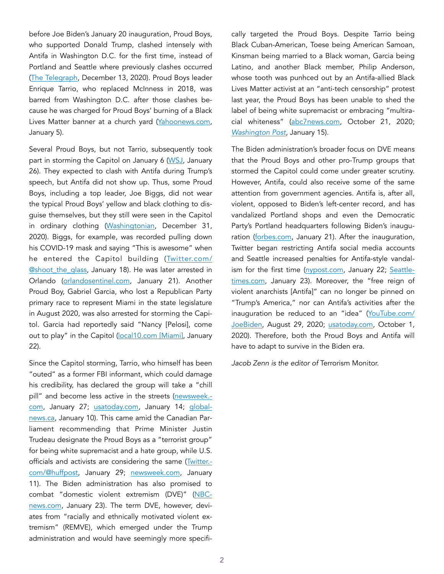before Joe Biden's January 20 inauguration, Proud Boys, who supported Donald Trump, clashed intensely with Antifa in Washington D.C. for the first time, instead of Portland and Seattle where previously clashes occurred ([The Telegraph](https://www.youtube.com/watch?v=dlPYIVFo7Bs), December 13, 2020). Proud Boys leader Enrique Tarrio, who replaced McInness in 2018, was barred from Washington D.C. after those clashes because he was charged for Proud Boys' burning of a Black Lives Matter banner at a church yard ([Yahoonews.com,](https://ca.news.yahoo.com/proud-boys-leader-charged-burning-164655662.html) January 5).

Several Proud Boys, but not Tarrio, subsequently took part in storming the Capitol on January 6 [\(WSJ](https://www.wsj.com/video/video-investigation-proud-boys-were-key-instigators-in-capitol-riot/37B883B6-9B19-400F-8036-15DE4EA8A015.html), January 26). They expected to clash with Antifa during Trump's speech, but Antifa did not show up. Thus, some Proud Boys, including a top leader, Joe Biggs, did not wear the typical Proud Boys' yellow and black clothing to disguise themselves, but they still were seen in the Capitol in ordinary clothing ([Washingtonian](https://www.washingtonian.com/2020/12/31/proud-boys-say-theyll-be-incognito-during-january-6-trump-rallies-in-dc/), December 31, 2020). Biggs, for example, was recorded pulling down his COVID-19 mask and saying "This is awesome" when he entered the Capitol building ([Twitter.com/](https://twitter.com/shoot_the_glass/status/1350903890107981825) **[@shoot\\_the\\_glass,](https://twitter.com/shoot_the_glass/status/1350903890107981825) January 18). He was later arrested in** Orlando [\(orlandosentinel.com](https://www.orlandosentinel.com/news/crime/os-ne-proud-boys-joe-biggs-capitol-arrest-20210121-ciuvkep7gfckpo2lee3yssb72e-story.html), January 21). Another Proud Boy, Gabriel Garcia, who lost a Republican Party primary race to represent Miami in the state legislature in August 2020, was also arrested for storming the Capitol. Garcia had reportedly said "Nancy [Pelosi], come out to play" in the Capitol ([local10.com \[Miami\]](https://www.local10.com/news/local/2021/01/22/miami-dade-man-fought-with-capitol-police-and-called-them-traitors-fbi-says/), January 22).

Since the Capitol storming, Tarrio, who himself has been "outed" as a former FBI informant, which could damage his credibility, has declared the group will take a "chill pill" and become less active in the streets ([newsweek.](https://www.newsweek.com/enrique-tarrio-proud-boys-informer-fbi-police-1564850) [com](https://www.newsweek.com/enrique-tarrio-proud-boys-informer-fbi-police-1564850), January 27; [usatoday.com](https://www.usatoday.com/story/news/2021/01/14/far-right-extremists-stay-away-armed-protests-inauguration/4159536001/), January 14; [global](https://globalnews.ca/news/7566687/feds-proud-boys-terrorist-organization/)[news.ca](https://globalnews.ca/news/7566687/feds-proud-boys-terrorist-organization/), January 10). This came amid the Canadian Parliament recommending that Prime Minister Justin Trudeau designate the Proud Boys as a "terrorist group" for being white supremacist and a hate group, while U.S. officials and activists are considering the same ([Twitter.](https://twitter.com/HuffPost/status/1354902318597238788)[com/@huffpost](https://twitter.com/HuffPost/status/1354902318597238788), January 29; [newsweek.com](https://www.newsweek.com/proud-boys-petition-terrorists-capitol-attack-1560494), January 11). The Biden administration has also promised to combat "domestic violent extremism (DVE)" [\(NBC](https://twitter.com/NBCNews/status/1352687523269640192)[news.com,](https://twitter.com/NBCNews/status/1352687523269640192) January 23). The term DVE, however, deviates from "racially and ethnically motivated violent extremism" (REMVE), which emerged under the Trump administration and would have seemingly more specifically targeted the Proud Boys. Despite Tarrio being Black Cuban-American, Toese being American Samoan, Kinsman being married to a Black woman, Garcia being Latino, and another Black member, Philip Anderson, whose tooth was punhced out by an Antifa-allied Black Lives Matter activist at an "anti-tech censorship" protest last year, the Proud Boys has been unable to shed the label of being white supremacist or embracing "multiracial whiteness" ([abc7news.com,](https://abc7news.com/free-speech-rally-sf-philip-anderson-adroa-proud-boys/7196991/) October 21, 2020; *[Washington Post](https://www.washingtonpost.com/opinions/2021/01/15/understand-trumps-support-we-must-think-terms-multiracial-whiteness/)*, January 15).

The Biden administration's broader focus on DVE means that the Proud Boys and other pro-Trump groups that stormed the Capitol could come under greater scrutiny. However, Antifa, could also receive some of the same attention from government agencies. Antifa is, after all, violent, opposed to Biden's left-center record, and has vandalized Portland shops and even the Democratic Party's Portland headquarters following Biden's inauguration ([forbes.com,](https://www.forbes.com/sites/jemimamcevoy/2021/01/21/we-dont-want-biden-eight-arrested-in-portland-after-anti-fascist-demonstrators-vandalize-democratic-party-hq/) January 21). After the inauguration, Twitter began restricting Antifa social media accounts and Seattle increased penalties for Antifa-style vandalism for the first time ([nypost.com,](https://nypost.com/2021/01/22/twitter-suspends-antifa-accounts-with-over-71k-followers/) January 22; [Seattle](https://www.seattletimes.com/seattle-news/crime/seattle-police-chief-announces-tougher-policy-of-prosecuting-protesters-who-vandalize/?utm_medium=social&utm_campaign=owned_echobox_tw_m&utm_source=Twitter%22%20%5Cl%20%22Echobox=1611436814)[times.com](https://www.seattletimes.com/seattle-news/crime/seattle-police-chief-announces-tougher-policy-of-prosecuting-protesters-who-vandalize/?utm_medium=social&utm_campaign=owned_echobox_tw_m&utm_source=Twitter%22%20%5Cl%20%22Echobox=1611436814), January 23). Moreover, the "free reign of violent anarchists [Antifa]" can no longer be pinned on "Trump's America," nor can Antifa's activities after the inauguration be reduced to an "idea" ([YouTube.com/](https://www.youtube.com/watch?v=5EDjAfyZrww) [JoeBiden,](https://www.youtube.com/watch?v=5EDjAfyZrww) August 29, 2020; [usatoday.com](https://www.usatoday.com/story/news/factcheck/2020/10/01/fact-check-quote-attributed-biden-antifa-missing-context/5885435002/), October 1, 2020). Therefore, both the Proud Boys and Antifa will have to adapt to survive in the Biden era.

*Jacob Zenn is the editor of* Terrorism Monitor.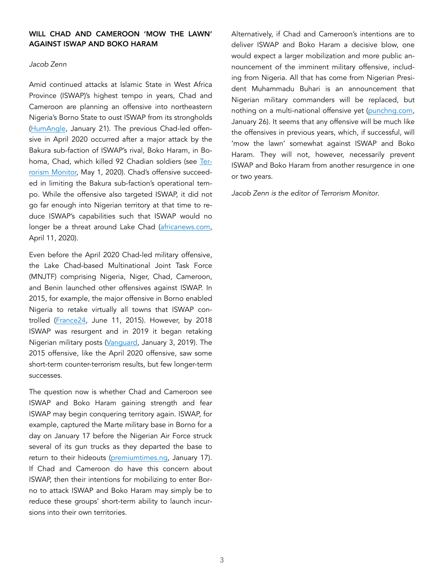### WILL CHAD AND CAMEROON 'MOW THE LAWN' AGAINST ISWAP AND BOKO HARAM

#### *Jacob Zenn*

Amid continued attacks at Islamic State in West Africa Province (ISWAP)'s highest tempo in years, Chad and Cameroon are planning an offensive into northeastern Nigeria's Borno State to oust ISWAP from its strongholds ([HumAngle](https://humangle.ng/chadian-cameroonian-forces-join-new-offensive-in-northeast-nigeria/), January 21). The previous Chad-led offensive in April 2020 occurred after a major attack by the Bakura sub-faction of ISWAP's rival, Boko Haram, in Bohoma, Chad, which killed 92 Chadian soldiers (see [Ter](https://jamestown.org/program/counter-boko-haram-offensives-in-chad-niger-and-nigeria-under-the-specter-of-coronavirus-public-relations-or-permanent-destruction/)[rorism Monitor,](https://jamestown.org/program/counter-boko-haram-offensives-in-chad-niger-and-nigeria-under-the-specter-of-coronavirus-public-relations-or-permanent-destruction/) May 1, 2020). Chad's offensive succeeded in limiting the Bakura sub-faction's operational tempo. While the offensive also targeted ISWAP, it did not go far enough into Nigerian territory at that time to reduce ISWAP's capabilities such that ISWAP would no longer be a threat around Lake Chad [\(africanews.com,](https://www.africanews.com/2020/04/11/chad-ends-involvement-in-boko-haram-sahel-anti-terrorism-ops-president/) April 11, 2020).

Even before the April 2020 Chad-led military offensive, the Lake Chad-based Multinational Joint Task Force (MNJTF) comprising Nigeria, Niger, Chad, Cameroon, and Benin launched other offensives against ISWAP. In 2015, for example, the major offensive in Borno enabled Nigeria to retake virtually all towns that ISWAP controlled [\(France24](https://www.france24.com/en/20150611-nigeria-regional-force-boko-haram-MNJTF), June 11, 2015). However, by 2018 ISWAP was resurgent and in 2019 it began retaking Nigerian military posts [\(Vanguard](https://www.vanguardngr.com/2019/01/boko-haram-raids-military-posts-in-northeast-nigeria/), January 3, 2019). The 2015 offensive, like the April 2020 offensive, saw some short-term counter-terrorism results, but few longer-term successes.

The question now is whether Chad and Cameroon see ISWAP and Boko Haram gaining strength and fear ISWAP may begin conquering territory again. ISWAP, for example, captured the Marte military base in Borno for a day on January 17 before the Nigerian Air Force struck several of its gun trucks as they departed the base to return to their hideouts ([premiumtimes.ng](https://www.premiumtimesng.com/news/top-news/437017-nigerian-military-destroys-seven-more-boko-haram-gun-trucks-official.html), January 17). If Chad and Cameroon do have this concern about ISWAP, then their intentions for mobilizing to enter Borno to attack ISWAP and Boko Haram may simply be to reduce these groups' short-term ability to launch incursions into their own territories.

Alternatively, if Chad and Cameroon's intentions are to deliver ISWAP and Boko Haram a decisive blow, one would expect a larger mobilization and more public announcement of the imminent military offensive, including from Nigeria. All that has come from Nigerian President Muhammadu Buhari is an announcement that Nigerian military commanders will be replaced, but nothing on a multi-national offensive yet ([punchng.com](https://punchng.com/updated-at-last-buhari-appoints-new-service-chiefs/), January 26). It seems that any offensive will be much like the offensives in previous years, which, if successful, will 'mow the lawn' somewhat against ISWAP and Boko Haram. They will not, however, necessarily prevent ISWAP and Boko Haram from another resurgence in one or two years.

*Jacob Zenn is the editor of Terrorism Monitor*.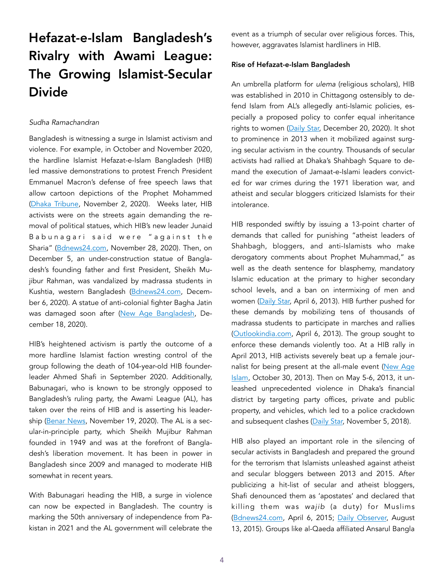# Hefazat-e-Islam Bangladesh's Rivalry with Awami League: The Growing Islamist-Secular Divide

#### *Sudha Ramachandran*

Bangladesh is witnessing a surge in Islamist activism and violence. For example, in October and November 2020, the hardline Islamist Hefazat-e-Islam Bangladesh (HIB) led massive demonstrations to protest French President Emmanuel Macron's defense of free speech laws that allow cartoon depictions of the Prophet Mohammed ([Dhaka Tribune](https://www.dhakatribune.com/bangladesh/2020/11/02/hefazat-e-islam-prepares-for-march-towards-french-embassy), November 2, 2020). Weeks later, HIB activists were on the streets again demanding the removal of political statues, which HIB's new leader Junaid Babunagari said were "against the Sharia" [\(Bdnews24.com,](https://bdnews24.com/bangladesh/2020/11/28/bangladesh-radical-islamist-leader-threatens-to-pull-down-statues) November 28, 2020). Then, on December 5, an under-construction statue of Bangladesh's founding father and first President, Sheikh Mujibur Rahman, was vandalized by madrassa students in Kushtia, western Bangladesh [\(Bdnews24.com](https://bdnews24.com/bangladesh/2020/12/06/bangabandhu-statue-vandals-in-kushtia-are-from-a-madrasa), December 6, 2020). A statue of anti-colonial fighter Bagha Jatin was damaged soon after ([New Age Bangladesh](https://www.newagebd.net/article/124598/bagha-jatins-sculpture-damaged-in-kushtia), December 18, 2020).

HIB's heightened activism is partly the outcome of a more hardline Islamist faction wresting control of the group following the death of 104-year-old HIB founderleader Ahmed Shafi in September 2020. Additionally, Babunagari, who is known to be strongly opposed to Bangladesh's ruling party, the Awami League (AL), has taken over the reins of HIB and is asserting his leadership ([Benar News,](https://www.benarnews.org/english/news/bengali/faith-analysis-11192020164548.html) November 19, 2020). The AL is a secular-in-principle party, which Sheikh Mujibur Rahman founded in 1949 and was at the forefront of Bangladesh's liberation movement. It has been in power in Bangladesh since 2009 and managed to moderate HIB somewhat in recent years.

With Babunagari heading the HIB, a surge in violence can now be expected in Bangladesh. The country is marking the 50th anniversary of independence from Pakistan in 2021 and the AL government will celebrate the event as a triumph of secular over religious forces. This, however, aggravates Islamist hardliners in HIB.

#### Rise of Hefazat-e-Islam Bangladesh

An umbrella platform for *ulema* (religious scholars), HIB was established in 2010 in Chittagong ostensibly to defend Islam from AL's allegedly anti-Islamic policies, especially a proposed policy to confer equal inheritance rights to women [\(Daily Star,](https://www.thedailystar.net/country/news/battle-brewing-over-hefajat-helm-1964669) December 20, 2020). It shot to prominence in 2013 when it mobilized against surging secular activism in the country. Thousands of secular activists had rallied at Dhaka's Shahbagh Square to demand the execution of Jamaat-e-Islami leaders convicted for war crimes during the 1971 liberation war, and atheist and secular bloggers criticized Islamists for their intolerance.

HIB responded swiftly by issuing a 13-point charter of demands that called for punishing "atheist leaders of Shahbagh, bloggers, and anti-Islamists who make derogatory comments about Prophet Muhammad," as well as the death sentence for blasphemy, mandatory Islamic education at the primary to higher secondary school levels, and a ban on intermixing of men and women ([Daily Star,](https://www.thedailystar.net/news/hefajat-demands) April 6, 2013). HIB further pushed for these demands by mobilizing tens of thousands of madrassa students to participate in marches and rallies ([Outlookindia.com,](https://www.outlookindia.com/newswire/story/bangladeshi-islamists-rally-against-atheist-bloggers/794695) April 6, 2013). The group sought to enforce these demands violently too. At a HIB rally in April 2013, HIB activists severely beat up a female journalist for being present at the all-male event [\(New Age](https://www.newageislam.com/radical-islamism-and-jihad/ghulam-rasool-dehlvi-new-age-islam/hefazat-e-islam-bangladesh-its-doctrines-are-brazenly-un-islamic/d/14224) [Islam](https://www.newageislam.com/radical-islamism-and-jihad/ghulam-rasool-dehlvi-new-age-islam/hefazat-e-islam-bangladesh-its-doctrines-are-brazenly-un-islamic/d/14224), October 30, 2013). Then on May 5-6, 2013, it unleashed unprecedented violence in Dhaka's financial district by targeting party offices, private and public property, and vehicles, which led to a police crackdown and subsequent clashes [\(Daily Star,](https://www.thedailystar.net/frontpage/news/hefajat-then-and-now-1656370) November 5, 2018).

HIB also played an important role in the silencing of secular activists in Bangladesh and prepared the ground for the terrorism that Islamists unleashed against atheist and secular bloggers between 2013 and 2015. After publicizing a hit-list of secular and atheist bloggers, Shafi denounced them as 'apostates' and declared that killing them was *wajib* (a duty) for Muslims ([Bdnews24.com](https://opinion.bdnews24.com/2015/04/06/bangladesh-v-religious-extremists/), April 6, 2015; [Daily Observer,](https://www.observerbd.com/2015/08/13/104719.php) August 13, 2015). Groups like al-Qaeda affiliated Ansarul Bangla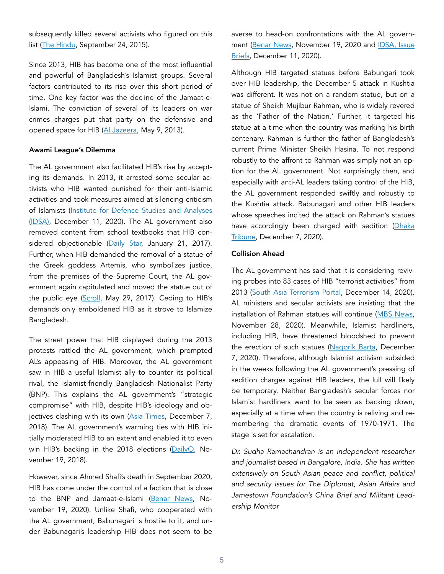subsequently killed several activists who figured on this list ([The Hindu](https://www.thehindu.com/news/international/militant-group-ansarullah-bangla-team-publishes-hit-list/article7682104.ece), September 24, 2015).

Since 2013, HIB has become one of the most influential and powerful of Bangladesh's Islamist groups. Several factors contributed to its rise over this short period of time. One key factor was the decline of the Jamaat-e-Islami. The conviction of several of its leaders on war crimes charges put that party on the defensive and opened space for HIB ([Al Jazeera,](https://www.aljazeera.com/features/2013/5/9/behind-the-rise-of-bangladeshs-hifazat) May 9, 2013).

#### Awami League's Dilemma

The AL government also facilitated HIB's rise by accepting its demands. In 2013, it arrested some secular activists who HIB wanted punished for their anti-Islamic activities and took measures aimed at silencing criticism of Islamists [\(Institute for Defence Studies and Analyses](https://idsa.in/issuebrief/hefajat-e-islami-and-the-politics-of-islamism-sspattanaik-111220)  [\(IDSA\),](https://idsa.in/issuebrief/hefajat-e-islami-and-the-politics-of-islamism-sspattanaik-111220) December 11, 2020). The AL government also removed content from school textbooks that HIB con-sidered objectionable ([Daily Star,](https://www.thedailystar.net/opinion/the-big-picture/disturbing-deviations-childrens-books-1348375) January 21, 2017). Further, when HIB demanded the removal of a statue of the Greek goddess Artemis, who symbolizes justice, from the premises of the Supreme Court, the AL government again capitulated and moved the statue out of the public eye [\(Scroll](https://scroll.in/latest/838995/bangladesh-controversial-lady-justice-statue-reinstalled-behind-supreme-court-after-protests), May 29, 2017). Ceding to HIB's demands only emboldened HIB as it strove to Islamize Bangladesh.

The street power that HIB displayed during the 2013 protests rattled the AL government, which prompted AL's appeasing of HIB. Moreover, the AL government saw in HIB a useful Islamist ally to counter its political rival, the Islamist-friendly Bangladesh Nationalist Party (BNP). This explains the AL government's "strategic compromise" with HIB, despite HIB's ideology and ob-jectives clashing with its own [\(Asia Times](https://asiatimes.com/2018/12/bangladeshs-ruling-secular-awami-league-strengthens-ties-with-islamist-parties/), December 7, 2018). The AL government's warming ties with HIB initially moderated HIB to an extent and enabled it to even win HIB's backing in the 2018 elections ([DailyO](https://www.dailyo.in/politics/bangladesh-polls-why-awami-league-s-growing-warmth-towards-islamic-fundamentalist-hefazat-e-islam-is-raising-eyebrows/story/1/27829.html), November 19, 2018).

However, since Ahmed Shafi's death in September 2020, HIB has come under the control of a faction that is close to the BNP and Jamaat-e-Islami [\(Benar News,](https://www.benarnews.org/english/news/bengali/faith-analysis-11192020164548.html) November 19, 2020). Unlike Shafi, who cooperated with the AL government, Babunagari is hostile to it, and under Babunagari's leadership HIB does not seem to be averse to head-on confrontations with the AL government [\(Benar News,](https://www.benarnews.org/english/news/bengali/faith-analysis-11192020164548.html) November 19, 2020 and [IDSA, Issue](https://idsa.in/issuebrief/hefajat-e-islami-and-the-politics-of-islamism-sspattanaik-111220) [Briefs](https://idsa.in/issuebrief/hefajat-e-islami-and-the-politics-of-islamism-sspattanaik-111220), December 11, 2020).

Although HIB targeted statues before Babungari took over HIB leadership, the December 5 attack in Kushtia was different. It was not on a random statue, but on a statue of Sheikh Mujibur Rahman, who is widely revered as the 'Father of the Nation.' Further, it targeted his statue at a time when the country was marking his birth centenary. Rahman is further the father of Bangladesh's current Prime Minister Sheikh Hasina. To not respond robustly to the affront to Rahman was simply not an option for the AL government. Not surprisingly then, and especially with anti-AL leaders taking control of the HIB, the AL government responded swiftly and robustly to the Kushtia attack. Babunagari and other HIB leaders whose speeches incited the attack on Rahman's statues have accordingly been charged with sedition (Dhaka [Tribune,](https://www.dhakatribune.com/bangladesh/2020/12/07/remark-on-bangabandhu-sculpture-two-sedition-complaints-filed) December 7, 2020).

#### Collision Ahead

The AL government has said that it is considering reviving probes into 83 cases of HIB "terrorist activities" from 2013 ([South Asia Terrorism Portal](https://www.satp.org/south-asia-intelligence-review-Volume-19-No-25), December 14, 2020). AL ministers and secular activists are insisting that the installation of Rahman statues will continue [\(MBS News](https://www.mbs.news/2020/11/islamic-fundamentalism-in-bangladesh-they-dont-even-need-mujibs-statue-islamic-fundamentalism-in-bangladesh-they-dont-even-need-mujibs-statue.html), November 28, 2020). Meanwhile, Islamist hardliners, including HIB, have threatened bloodshed to prevent the erection of such statues ([Nagorik Barta](https://en.nagorikbarta.com/news-details/2511/case-filed-against-mamunul-babungari-and-faizul-karim-for-speaking-against-sculpture), December 7, 2020). Therefore, although Islamist activism subsided in the weeks following the AL government's pressing of sedition charges against HIB leaders, the lull will likely be temporary. Neither Bangladesh's secular forces nor Islamist hardliners want to be seen as backing down, especially at a time when the country is reliving and remembering the dramatic events of 1970-1971. The stage is set for escalation.

*Dr. Sudha Ramachandran is an independent researcher and journalist based in Bangalore, India. She has written extensively on South Asian peace and conflict, political and security issues for The Diplomat, Asian Affairs and Jamestown Foundation's China Brief and Militant Leadership Monitor*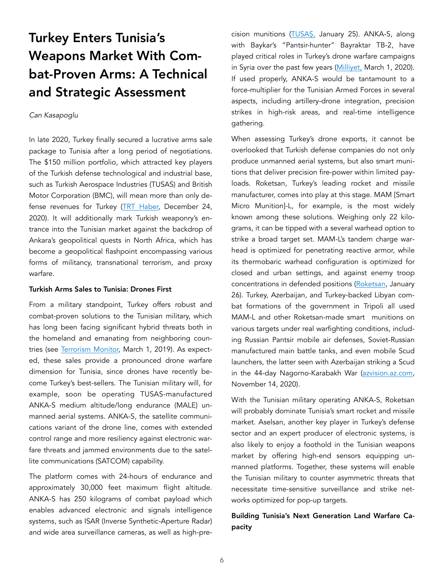# Turkey Enters Tunisia's Weapons Market With Combat-Proven Arms: A Technical and Strategic Assessment

#### *Can Kasapoglu*

In late 2020, Turkey finally secured a lucrative arms sale package to Tunisia after a long period of negotiations. The \$150 million portfolio, which attracted key players of the Turkish defense technological and industrial base, such as Turkish Aerospace Industries (TUSAS) and British Motor Corporation (BMC), will mean more than only defense revenues for Turkey [\(TRT Haber,](https://www.trthaber.com/haber/ekonomi/savunma-sanayiinden-tunusa-150-milyon-dolarlik-ihracat-540752.html) December 24, 2020). It will additionally mark Turkish weaponry's entrance into the Tunisian market against the backdrop of Ankara's geopolitical quests in North Africa, which has become a geopolitical flashpoint encompassing various forms of militancy, transnational terrorism, and proxy warfare.

#### Turkish Arms Sales to Tunisia: Drones First

From a military standpoint, Turkey offers robust and combat-proven solutions to the Tunisian military, which has long been facing significant hybrid threats both in the homeland and emanating from neighboring countries (see [Terrorism Monitor,](https://jamestown.org/program/the-terrorist-threat-in-tunisia-from-the-borders-to-the-cities/) March 1, 2019). As expected, these sales provide a pronounced drone warfare dimension for Tunisia, since drones have recently become Turkey's best-sellers. The Tunisian military will, for example, soon be operating TUSAS-manufactured ANKA-S medium altitude/long endurance (MALE) unmanned aerial systems. ANKA-S, the satellite communications variant of the drone line, comes with extended control range and more resiliency against electronic warfare threats and jammed environments due to the satellite communications (SATCOM) capability.

The platform comes with 24-hours of endurance and approximately 30,000 feet maximum flight altitude. ANKA-S has 250 kilograms of combat payload which enables advanced electronic and signals intelligence systems, such as ISAR (Inverse Synthetic-Aperture Radar) and wide area surveillance cameras, as well as high-precision munitions ([TUSA](https://www.tusas.com/uploads/2019/12/anka-insansiz-hava-araci-tanitim-katalogu.pdf)Ş, January 25). ANKA-S, along with Baykar's "Pantsir-hunter" Bayraktar TB-2, have played critical roles in Turkey's drone warfare campaigns in Syria over the past few years [\(Milliyet,](https://www.milliyet.com.tr/galeri/katil-esede-siha-darbesi-whatsappa-yazdi-rus-ordusu-6155794/1) March 1, 2020). If used properly, ANKA-S would be tantamount to a force-multiplier for the Tunisian Armed Forces in several aspects, including artillery-drone integration, precision strikes in high-risk areas, and real-time intelligence gathering.

When assessing Turkey's drone exports, it cannot be overlooked that Turkish defense companies do not only produce unmanned aerial systems, but also smart munitions that deliver precision fire-power within limited payloads. Roketsan, Turkey's leading rocket and missile manufacturer, comes into play at this stage. MAM [Smart Micro Munition]-L, for example, is the most widely known among these solutions. Weighing only 22 kilograms, it can be tipped with a several warhead option to strike a broad target set. MAM-L's tandem charge warhead is optimized for penetrating reactive armor, while its thermobaric warhead configuration is optimized for closed and urban settings, and against enemy troop concentrations in defended positions [\(Roketsan,](https://www.roketsan.com.tr/en/product/mam-l-smart-micro-munition/) January 26). Turkey, Azerbaijan, and Turkey-backed Libyan combat formations of the government in Tripoli all used MAM-L and other Roketsan-made smart munitions on various targets under real warfighting conditions, including Russian Pantsir mobile air defenses, Soviet-Russian manufactured main battle tanks, and even mobile Scud launchers, the latter seen with Azerbaijan striking a Scud in the 44-day Nagorno-Karabakh War [\(azvision.az.com](https://en.azvision.az/news/134956/--video--of-armenias--scud-which-destroyed-by-azerbaijani-army-goes-viral---.html), November 14, 2020).

With the Tunisian military operating ANKA-S, Roketsan will probably dominate Tunisia's smart rocket and missile market. Aselsan, another key player in Turkey's defense sector and an expert producer of electronic systems, is also likely to enjoy a foothold in the Tunisian weapons market by offering high-end sensors equipping unmanned platforms. Together, these systems will enable the Tunisian military to counter asymmetric threats that necessitate time-sensitive surveillance and strike networks optimized for pop-up targets.

## Building Tunisia's Next Generation Land Warfare Capacity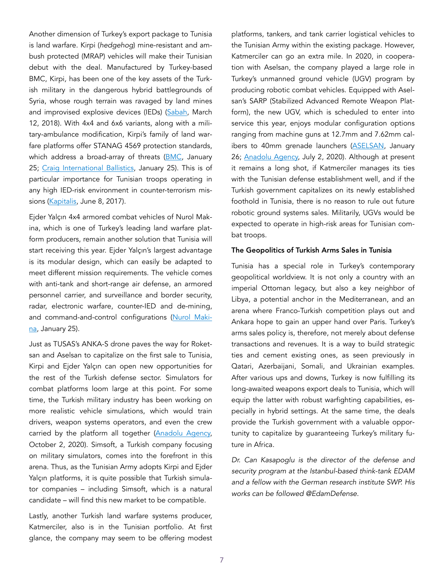Another dimension of Turkey's export package to Tunisia is land warfare. Kirpi (*hedgehog*) mine-resistant and ambush protected (MRAP) vehicles will make their Tunisian debut with the deal. Manufactured by Turkey-based BMC, Kirpi*,* has been one of the key assets of the Turkish military in the dangerous hybrid battlegrounds of Syria, whose rough terrain was ravaged by land mines and improvised explosive devices (IEDs) [\(Sabah](https://www.sabah.com.tr/galeri/turkiye/50-kirpi-afrine-dogru-gidiyor), March 12, 2018). With 4x4 and 6x6 variants, along with a military-ambulance modification, Kirpi's family of land warfare platforms offer STANAG 4569 protection standards, which address a broad-array of threats [\(BMC,](https://www.bmc.com.tr/en/defense-industry/kirpi/technical?tab=kirpi6x6) January 25; [Craig International Ballistics](https://ballistics.com.au/technical/industry-ballistic-and-stab-resistant-standards/%22%20%5Cl%20%22stanag), January 25). This is of particular importance for Tunisian troops operating in any high IED-risk environment in counter-terrorism mis-sions ([Kapitalis](https://web.archive.org/web/20171014022232/http:/kapitalis.com/tunisie/2017/06/08/jebel-mghila-deux-soldats-blesses-dans-lexplosion-dune-mine/), June 8, 2017).

Ejder Yalçın 4x4 armored combat vehicles of Nurol Makina, which is one of Turkey's leading land warfare platform producers, remain another solution that Tunisia will start receiving this year. Ejder Yalçın's largest advantage is its modular design, which can easily be adapted to meet different mission requirements. The vehicle comes with anti-tank and short-range air defense, an armored personnel carrier, and surveillance and border security, radar, electronic warfare, counter-IED and de-mining, and command-and-control configurations ([Nurol Maki](https://www.nurolmakina.com.tr/en/ejder-yalcin-en)[na,](https://www.nurolmakina.com.tr/en/ejder-yalcin-en) January 25).

Just as TUSAS's ANKA-S drone paves the way for Roketsan and Aselsan to capitalize on the first sale to Tunisia, Kirpi and Ejder Yalçın can open new opportunities for the rest of the Turkish defense sector. Simulators for combat platforms loom large at this point. For some time, the Turkish military industry has been working on more realistic vehicle simulations, which would train drivers, weapon systems operators, and even the crew carried by the platform all together ([Anadolu Agency,](https://www.aa.com.tr/tr/ekonomi/askeri-araclardaki-guvenlik-teknolojik-egitimle-artirilacak/1993181) October 2, 2020). Simsoft, a Turkish company focusing on military simulators, comes into the forefront in this arena. Thus, as the Tunisian Army adopts Kirpi and Ejder Yalçın platforms, it is quite possible that Turkish simulator companies – including Simsoft, which is a natural candidate – will find this new market to be compatible.

Lastly, another Turkish land warfare systems producer, Katmerciler, also is in the Tunisian portfolio. At first glance, the company may seem to be offering modest platforms, tankers, and tank carrier logistical vehicles to the Tunisian Army within the existing package. However, Katmerciler can go an extra mile. In 2020, in cooperation with Aselsan, the company played a large role in Turkey's unmanned ground vehicle (UGV) program by producing robotic combat vehicles. Equipped with Aselsan's SARP (Stabilized Advanced Remote Weapon Platform), the new UGV, which is scheduled to enter into service this year, enjoys modular configuration options ranging from machine guns at 12.7mm and 7.62mm calibers to 40mm grenade launchers [\(ASELSAN,](https://www.aselsan.com.tr/en/capabilities/weapon-systems/remote-weapon-platforms/sarp-stabilized-advanced-remote-weapon-platform) January 26; [Anadolu Agency,](https://www.aa.com.tr/tr/ekonomi/insansiz-mini-tank-icin-seri-uretim-imzasi/1897261) July 2, 2020). Although at present it remains a long shot, if Katmerciler manages its ties with the Tunisian defense establishment well, and if the Turkish government capitalizes on its newly established foothold in Tunisia, there is no reason to rule out future robotic ground systems sales. Militarily, UGVs would be expected to operate in high-risk areas for Tunisian combat troops.

#### The Geopolitics of Turkish Arms Sales in Tunisia

Tunisia has a special role in Turkey's contemporary geopolitical worldview. It is not only a country with an imperial Ottoman legacy, but also a key neighbor of Libya, a potential anchor in the Mediterranean, and an arena where Franco-Turkish competition plays out and Ankara hope to gain an upper hand over Paris. Turkey's arms sales policy is, therefore, not merely about defense transactions and revenues. It is a way to build strategic ties and cement existing ones, as seen previously in Qatari, Azerbaijani, Somali, and Ukrainian examples. After various ups and downs, Turkey is now fulfilling its long-awaited weapons export deals to Tunisia, which will equip the latter with robust warfighting capabilities, especially in hybrid settings. At the same time, the deals provide the Turkish government with a valuable opportunity to capitalize by guaranteeing Turkey's military future in Africa.

*Dr. Can Kasapoglu is the director of the defense and security program at the Istanbul-based think-tank EDAM and a fellow with the German research institute SWP. His works can be followed @EdamDefense.*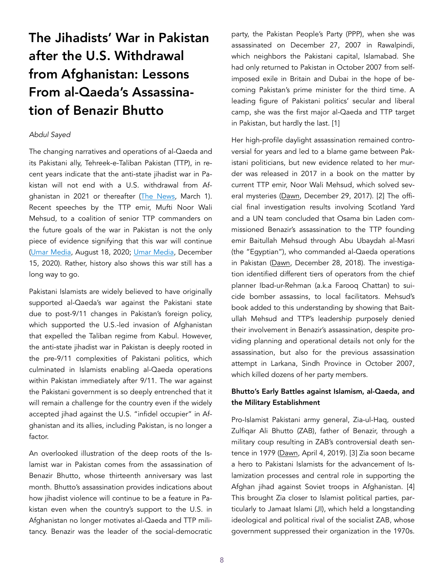# The Jihadists' War in Pakistan after the U.S. Withdrawal from Afghanistan: Lessons From al-Qaeda's Assassination of Benazir Bhutto

#### *Abdul Sayed*

The changing narratives and operations of al-Qaeda and its Pakistani ally, Tehreek-e-Taliban Pakistan (TTP), in recent years indicate that the anti-state jihadist war in Pakistan will not end with a U.S. withdrawal from Afghanistan in 2021 or thereafter [\(The News](https://www.thenews.com.pk/print/621967-us-troops-out-in-14-months-if-taliban-keep-commitments), March 1). Recent speeches by the TTP emir, Mufti Noor Wali Mehsud, to a coalition of senior TTP commanders on the future goals of the war in Pakistan is not the only piece of evidence signifying that this war will continue ([Umar Media,](https://umarmedia.net/?p=4456) August 18, 2020; [Umar Media,](https://umarmedia.net/?p=5187) December 15, 2020). Rather, history also shows this war still has a long way to go.

Pakistani Islamists are widely believed to have originally supported al-Qaeda's war against the Pakistani state due to post-9/11 changes in Pakistan's foreign policy, which supported the U.S.-led invasion of Afghanistan that expelled the Taliban regime from Kabul. However, the anti-state jihadist war in Pakistan is deeply rooted in the pre-9/11 complexities of Pakistani politics, which culminated in Islamists enabling al-Qaeda operations within Pakistan immediately after 9/11. The war against the Pakistani government is so deeply entrenched that it will remain a challenge for the country even if the widely accepted jihad against the U.S. "infidel occupier" in Afghanistan and its allies, including Pakistan, is no longer a factor.

An overlooked illustration of the deep roots of the Islamist war in Pakistan comes from the assassination of Benazir Bhutto, whose thirteenth anniversary was last month. Bhutto's assassination provides indications about how jihadist violence will continue to be a feature in Pakistan even when the country's support to the U.S. in Afghanistan no longer motivates al-Qaeda and TTP militancy. Benazir was the leader of the social-democratic

party, the Pakistan People's Party (PPP), when she was assassinated on December 27, 2007 in Rawalpindi, which neighbors the Pakistani capital, Islamabad. She had only returned to Pakistan in October 2007 from selfimposed exile in Britain and Dubai in the hope of becoming Pakistan's prime minister for the third time. A leading figure of Pakistani politics' secular and liberal camp, she was the first major al-Qaeda and TTP target in Pakistan, but hardly the last. [1]

Her high-profile daylight assassination remained controversial for years and led to a blame game between Pakistani politicians, but new evidence related to her murder was released in 2017 in a book on the matter by current TTP emir, Noor Wali Mehsud, which solved several mysteries ([Dawn](https://www.dawn.com/news/1379383), December 29, 2017). [2] The official final investigation results involving Scotland Yard and a UN team concluded that Osama bin Laden commissioned Benazir's assassination to the TTP founding emir Baitullah Mehsud through Abu Ubaydah al-Masri (the "Egyptian"), who commanded al-Qaeda operations in Pakistan ([Dawn](https://www.dawn.com/news/1378568), December 28, 2018). The investigation identified different tiers of operators from the chief planner Ibad-ur-Rehman (a.k.a Farooq Chattan) to suicide bomber assassins, to local facilitators. Mehsud's book added to this understanding by showing that Baitullah Mehsud and TTP's leadership purposely denied their involvement in Benazir's assassination, despite providing planning and operational details not only for the assassination, but also for the previous assassination attempt in Larkana, Sindh Province in October 2007, which killed dozens of her party members.

## Bhutto's Early Battles against Islamism, al-Qaeda, and the Military Establishment

Pro-Islamist Pakistani army general, Zia-ul-Haq, ousted Zulfiqar Ali Bhutto (ZAB), father of Benazir, through a military coup resulting in ZAB's controversial death sentence in 1979 [\(Dawn,](https://www.dawn.com/news/1160422) April 4, 2019). [3] Zia soon became a hero to Pakistani Islamists for the advancement of Islamization processes and central role in supporting the Afghan jihad against Soviet troops in Afghanistan. [4] This brought Zia closer to Islamist political parties, particularly to Jamaat Islami (JI), which held a longstanding ideological and political rival of the socialist ZAB, whose government suppressed their organization in the 1970s.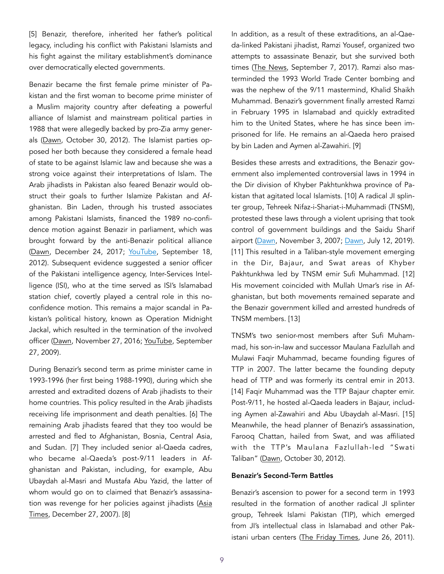[5] Benazir, therefore, inherited her father's political legacy, including his conflict with Pakistani Islamists and his fight against the military establishment's dominance over democratically elected governments.

Benazir became the first female prime minister of Pakistan and the first woman to become prime minister of a Muslim majority country after defeating a powerful alliance of Islamist and mainstream political parties in 1988 that were allegedly backed by pro-Zia army generals ([Dawn](https://www.dawn.com/news/760219), October 30, 2012). The Islamist parties opposed her both because they considered a female head of state to be against Islamic law and because she was a strong voice against their interpretations of Islam. The Arab jihadists in Pakistan also feared Benazir would obstruct their goals to further Islamize Pakistan and Afghanistan. Bin Laden, through his trusted associates among Pakistani Islamists, financed the 1989 no-confidence motion against Benazir in parliament, which was brought forward by the anti-Benazir political alliance ([Dawn,](https://www.dawn.com/news/1378555) December 24, 2017; [YouTube,](https://www.youtube.com/watch?v=R2dWb3xhBVU) September 18, 2012). Subsequent evidence suggested a senior officer of the Pakistani intelligence agency, Inter-Services Intelligence (ISI), who at the time served as ISI's Islamabad station chief, covertly played a central role in this noconfidence motion. This remains a major scandal in Pakistan's political history, known as Operation Midnight Jackal, which resulted in the termination of the involved officer [\(Dawn,](https://www.dawn.com/news/1298351) November 27, 2016; [YouTube,](https://www.youtube.com/watch?v=Ghzk-Gf3nRU) September 27, 2009).

During Benazir's second term as prime minister came in 1993-1996 (her first being 1988-1990), during which she arrested and extradited dozens of Arab jihadists to their home countries. This policy resulted in the Arab jihadists receiving life imprisonment and death penalties. [6] The remaining Arab jihadists feared that they too would be arrested and fled to Afghanistan, Bosnia, Central Asia, and Sudan. [7] They included senior al-Qaeda cadres, who became al-Qaeda's post-9/11 leaders in Afghanistan and Pakistan, including, for example, Abu Ubaydah al-Masri and Mustafa Abu Yazid, the latter of whom would go on to claimed that Benazir's assassination was revenge for her policies against jihadists ([Asia](http://www.worldsecuritynetwork.com/Terrorism/Shahzad-Syed-Saleem/Al-Qaeda-claims-Bhutto-killing)  [Times](http://www.worldsecuritynetwork.com/Terrorism/Shahzad-Syed-Saleem/Al-Qaeda-claims-Bhutto-killing), December 27, 2007). [8]

In addition, as a result of these extraditions, an al-Qaeda-linked Pakistani jihadist, Ramzi Yousef, organized two attempts to assassinate Benazir, but she survived both times ([The News](https://www.thenews.com.pk/print/228338-A-true-trail-of-Benazirs-assassination), September 7, 2017). Ramzi also masterminded the 1993 World Trade Center bombing and was the nephew of the 9/11 mastermind, Khalid Shaikh Muhammad. Benazir's government finally arrested Ramzi in February 1995 in Islamabad and quickly extradited him to the United States, where he has since been imprisoned for life. He remains an al-Qaeda hero praised by bin Laden and Aymen al-Zawahiri. [9]

Besides these arrests and extraditions, the Benazir government also implemented controversial laws in 1994 in the Dir division of Khyber Pakhtunkhwa province of Pakistan that agitated local Islamists. [10] A radical JI splinter group, Tehreek Nifaz-i-Shariat-i-Muhammadi (TNSM), protested these laws through a violent uprising that took control of government buildings and the Saidu Sharif airport [\(Dawn,](https://www.dawn.com/news/274153/officials) November 3, 2007; [Dawn](https://www.dawn.com/news/1493572), July 12, 2019). [11] This resulted in a Taliban-style movement emerging in the Dir, Bajaur, and Swat areas of Khyber Pakhtunkhwa led by TNSM emir Sufi Muhammad. [12] His movement coincided with Mullah Umar's rise in Afghanistan, but both movements remained separate and the Benazir government killed and arrested hundreds of TNSM members. [13]

TNSM's two senior-most members after Sufi Muhammad, his son-in-law and successor Maulana Fazlullah and Mulawi Faqir Muhammad, became founding figures of TTP in 2007. The latter became the founding deputy head of TTP and was formerly its central emir in 2013. [14] Faqir Muhammad was the TTP Bajaur chapter emir. Post-9/11, he hosted al-Qaeda leaders in Bajaur, including Aymen al-Zawahiri and Abu Ubaydah al-Masri. [15] Meanwhile, the head planner of Benazir's assassination, Farooq Chattan, hailed from Swat, and was affiliated with the TTP's Maulana Fazlullah-led "Swati Taliban" [\(Dawn,](https://www.dawn.com/news/760219) October 30, 2012).

#### Benazir's Second-Term Battles

Benazir's ascension to power for a second term in 1993 resulted in the formation of another radical JI splinter group, Tehreek Islami Pakistan (TIP), which emerged from JI's intellectual class in Islamabad and other Pak-istani urban centers [\(The Friday Times](http://amiraehsan.blogspot.com/2011/06/the-curious-case-of-amira-ehsan.html), June 26, 2011).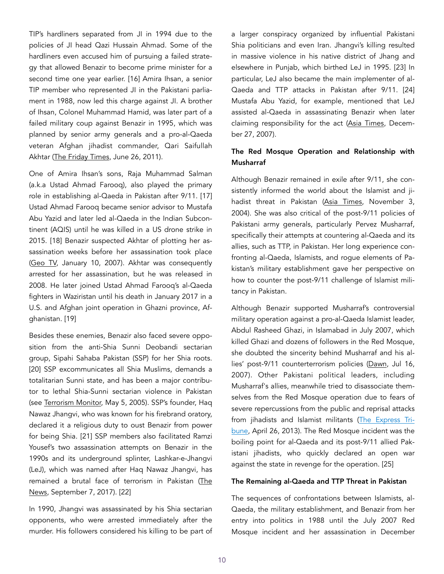TIP's hardliners separated from JI in 1994 due to the policies of JI head Qazi Hussain Ahmad. Some of the hardliners even accused him of pursuing a failed strategy that allowed Benazir to become prime minister for a second time one year earlier. [16] Amira Ihsan, a senior TIP member who represented JI in the Pakistani parliament in 1988, now led this charge against JI. A brother of Ihsan, Colonel Muhammad Hamid, was later part of a failed military coup against Benazir in 1995, which was planned by senior army generals and a pro-al-Qaeda veteran Afghan jihadist commander, Qari Saifullah Akhtar [\(The Friday Times,](http://amiraehsan.blogspot.com/2011/06/the-curious-case-of-amira-ehsan.html) June 26, 2011).

One of Amira Ihsan's sons, Raja Muhammad Salman (a.k.a Ustad Ahmad Farooq), also played the primary role in establishing al-Qaeda in Pakistan after 9/11. [17] Ustad Ahmad Farooq became senior advisor to Mustafa Abu Yazid and later led al-Qaeda in the Indian Subcontinent (AQIS) until he was killed in a US drone strike in 2015. [18] Benazir suspected Akhtar of plotting her assassination weeks before her assassination took place ([Geo TV,](https://www.geo.tv/latest/126750-Afghan-security-forces-gunned-down-Qari-Saif-ullah-Akhtar-in-clashes-Sources) January 10, 2007). Akhtar was consequently arrested for her assassination, but he was released in 2008. He later joined Ustad Ahmad Farooq's al-Qaeda fighters in Waziristan until his death in January 2017 in a U.S. and Afghan joint operation in Ghazni province, Afghanistan. [19]

Besides these enemies, Benazir also faced severe opposition from the anti-Shia Sunni Deobandi sectarian group, Sipahi Sahaba Pakistan (SSP) for her Shia roots. [20] SSP excommunicates all Shia Muslims, demands a totalitarian Sunni state, and has been a major contributor to lethal Shia-Sunni sectarian violence in Pakistan (see [Terrorism Monitor,](https://jamestown.org/program/sipah-e-sahaba-fomenting-sectarian-violence-in-pakistan/) May 5, 2005). SSP's founder, Haq Nawaz Jhangvi, who was known for his firebrand oratory, declared it a religious duty to oust Benazir from power for being Shia. [21] SSP members also facilitated Ramzi Yousef's two assassination attempts on Benazir in the 1990s and its underground splinter, Lashkar-e-Jhangvi (LeJ), which was named after Haq Nawaz Jhangvi, has remained a brutal face of terrorism in Pakistan (The [News,](https://www.thenews.com.pk/print/228338-A-true-trail-of-Benazirs-assassination) September 7, 2017). [22]

In 1990, Jhangvi was assassinated by his Shia sectarian opponents, who were arrested immediately after the murder. His followers considered his killing to be part of a larger conspiracy organized by influential Pakistani Shia politicians and even Iran. Jhangvi's killing resulted in massive violence in his native district of Jhang and elsewhere in Punjab, which birthed LeJ in 1995. [23] In particular, LeJ also became the main implementer of al-Qaeda and TTP attacks in Pakistan after 9/11. [24] Mustafa Abu Yazid, for example, mentioned that LeJ assisted al-Qaeda in assassinating Benazir when later claiming responsibility for the act [\(Asia Times,](http://www.worldsecuritynetwork.com/Terrorism/Shahzad-Syed-Saleem/Al-Qaeda-claims-Bhutto-killing) December 27, 2007).

## The Red Mosque Operation and Relationship with Musharraf

Although Benazir remained in exile after 9/11, she consistently informed the world about the Islamist and ji-hadist threat in Pakistan [\(Asia Times](http://www.worldsecuritynetwork.com/Broader-Middle-East/Shahzad-Syed-Saleem/Benazir-Bhuttos-answer-to-al-Qaeda), November 3, 2004). She was also critical of the post-9/11 policies of Pakistani army generals, particularly Pervez Musharraf, specifically their attempts at countering al-Qaeda and its allies, such as TTP, in Pakistan. Her long experience confronting al-Qaeda, Islamists, and rogue elements of Pakistan's military establishment gave her perspective on how to counter the post-9/11 challenge of Islamist militancy in Pakistan.

Although Benazir supported Musharraf's controversial military operation against a pro-al-Qaeda Islamist leader, Abdul Rasheed Ghazi, in Islamabad in July 2007, which killed Ghazi and dozens of followers in the Red Mosque, she doubted the sincerity behind Musharraf and his allies' post-9/11 counterterrorism policies [\(Dawn,](https://www.dawn.com/news/1070292) Jul 16, 2007). Other Pakistani political leaders, including Musharraf's allies, meanwhile tried to disassociate themselves from the Red Mosque operation due to fears of severe repercussions from the public and reprisal attacks from jihadists and Islamist militants [\(The Express Tri](https://tribune.com.pk/story/540741/probe-report-one-man-lal-masjid-commission-fails-to-apportion-blame)[bune](https://tribune.com.pk/story/540741/probe-report-one-man-lal-masjid-commission-fails-to-apportion-blame), April 26, 2013). The Red Mosque incident was the boiling point for al-Qaeda and its post-9/11 allied Pakistani jihadists, who quickly declared an open war against the state in revenge for the operation. [25]

#### The Remaining al-Qaeda and TTP Threat in Pakistan

The sequences of confrontations between Islamists, al-Qaeda, the military establishment, and Benazir from her entry into politics in 1988 until the July 2007 Red Mosque incident and her assassination in December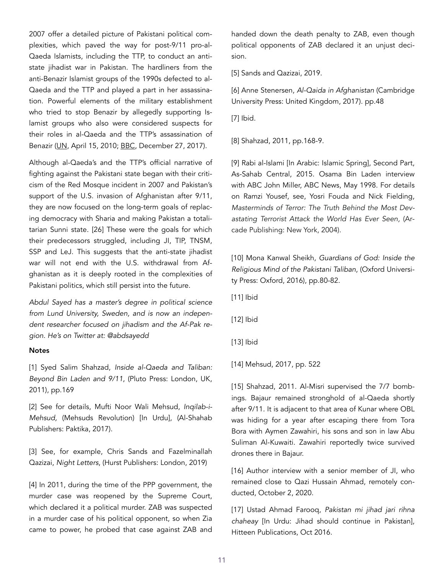2007 offer a detailed picture of Pakistani political complexities, which paved the way for post-9/11 pro-al-Qaeda Islamists, including the TTP, to conduct an antistate jihadist war in Pakistan. The hardliners from the anti-Benazir Islamist groups of the 1990s defected to al-Qaeda and the TTP and played a part in her assassination. Powerful elements of the military establishment who tried to stop Benazir by allegedly supporting Islamist groups who also were considered suspects for their roles in al-Qaeda and the TTP's assassination of Benazir ([UN,](https://news.un.org/en/story/2010/04/335482-un-report-bhutto-murder-finds-pakistani-officials-failed-profoundly) April 15, 2010; **[BBC](https://www.bbc.com/news/world-asia-42409374)**, December 27, 2017).

Although al-Qaeda's and the TTP's official narrative of fighting against the Pakistani state began with their criticism of the Red Mosque incident in 2007 and Pakistan's support of the U.S. invasion of Afghanistan after 9/11, they are now focused on the long-term goals of replacing democracy with Sharia and making Pakistan a totalitarian Sunni state. [26] These were the goals for which their predecessors struggled, including JI, TIP, TNSM, SSP and LeJ. This suggests that the anti-state jihadist war will not end with the U.S. withdrawal from Afghanistan as it is deeply rooted in the complexities of Pakistani politics, which still persist into the future.

*Abdul Sayed has a master's degree in political science from Lund University, Sweden, and is now an independent researcher focused on jihadism and the Af-Pak region. He's on Twitter at: @abdsayedd* 

#### **Notes**

[1] Syed Salim Shahzad, *Inside al-Qaeda and Taliban: Beyond Bin Laden and 9/11*, (Pluto Press: London, UK, 2011), pp.169

[2] See for details, Mufti Noor Wali Mehsud, *Inqilab-i-Mehsud,* (Mehsuds Revolution) [In Urdu], (Al-Shahab Publishers: Paktika, 2017).

[3] See, for example, Chris Sands and Fazelminallah Qazizai, *Night Letters*, (Hurst Publishers: London, 2019)

[4] In 2011, during the time of the PPP government, the murder case was reopened by the Supreme Court, which declared it a political murder. ZAB was suspected in a murder case of his political opponent, so when Zia came to power, he probed that case against ZAB and handed down the death penalty to ZAB, even though political opponents of ZAB declared it an unjust decision.

[5] Sands and Qazizai, 2019.

[6] Anne Stenersen, *Al-Qaida in Afghanistan* (Cambridge University Press: United Kingdom, 2017). pp.48

[7] Ibid.

[8] Shahzad, 2011, pp.168-9.

[9] Rabi al-Islami [In Arabic: Islamic Spring], Second Part, As-Sahab Central, 2015. Osama Bin Laden interview with ABC John Miller, ABC News, May 1998. For details on Ramzi Yousef, see, Yosri Fouda and Nick Fielding, *Masterminds of Terror: The Truth Behind the Most Devastating Terrorist Attack the World Has Ever Seen,* (Arcade Publishing: New York, 2004).

[10] Mona Kanwal Sheikh, *Guardians of God: Inside the Religious Mind of the Pakistani Taliban*, (Oxford University Press: Oxford, 2016), pp.80-82.

- [11] Ibid
- [12] Ibid
- [13] Ibid
- [14] Mehsud, 2017, pp. 522

[15] Shahzad, 2011. Al-Misri supervised the 7/7 bombings. Bajaur remained stronghold of al-Qaeda shortly after 9/11. It is adjacent to that area of Kunar where OBL was hiding for a year after escaping there from Tora Bora with Aymen Zawahiri, his sons and son in law Abu Suliman Al-Kuwaiti. Zawahiri reportedly twice survived drones there in Bajaur.

[16] Author interview with a senior member of JI, who remained close to Qazi Hussain Ahmad, remotely conducted, October 2, 2020.

[17] Ustad Ahmad Farooq, *Pakistan mi jihad jari rihna chaheay* [In Urdu: Jihad should continue in Pakistan], Hitteen Publications, Oct 2016.